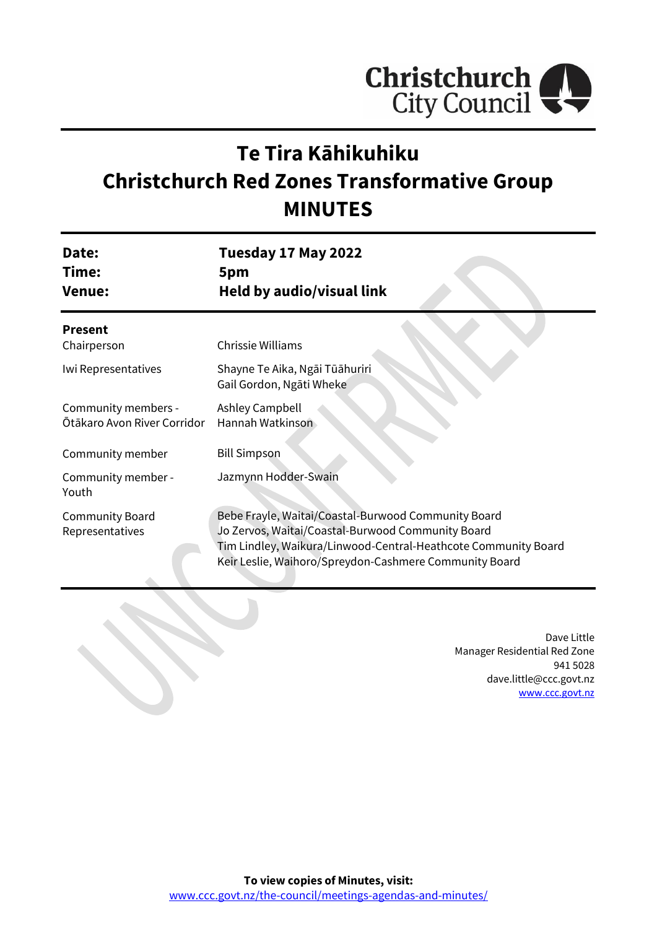

# **Te Tira Kāhikuhiku Christchurch Red Zones Transformative Group MINUTES**

| Date:<br>Time:<br><b>Venue:</b>                    | Tuesday 17 May 2022<br>5pm<br>Held by audio/visual link                                                                                                                                                                              |
|----------------------------------------------------|--------------------------------------------------------------------------------------------------------------------------------------------------------------------------------------------------------------------------------------|
| <b>Present</b>                                     |                                                                                                                                                                                                                                      |
| Chairperson                                        | Chrissie Williams                                                                                                                                                                                                                    |
| Iwi Representatives                                | Shayne Te Aika, Ngāi Tūāhuriri<br>Gail Gordon, Ngāti Wheke                                                                                                                                                                           |
| Community members -<br>Ōtākaro Avon River Corridor | Ashley Campbell<br>Hannah Watkinson                                                                                                                                                                                                  |
| Community member                                   | <b>Bill Simpson</b>                                                                                                                                                                                                                  |
| Community member -<br>Youth                        | Jazmynn Hodder-Swain                                                                                                                                                                                                                 |
| <b>Community Board</b><br>Representatives          | Bebe Frayle, Waitai/Coastal-Burwood Community Board<br>Jo Zervos, Waitai/Coastal-Burwood Community Board<br>Tim Lindley, Waikura/Linwood-Central-Heathcote Community Board<br>Keir Leslie, Waihoro/Spreydon-Cashmere Community Board |

Dave Little Manager Residential Red Zone 941 5028 dave.little@ccc.govt.nz [www.ccc.govt.nz](http://www.ccc.govt.nz/)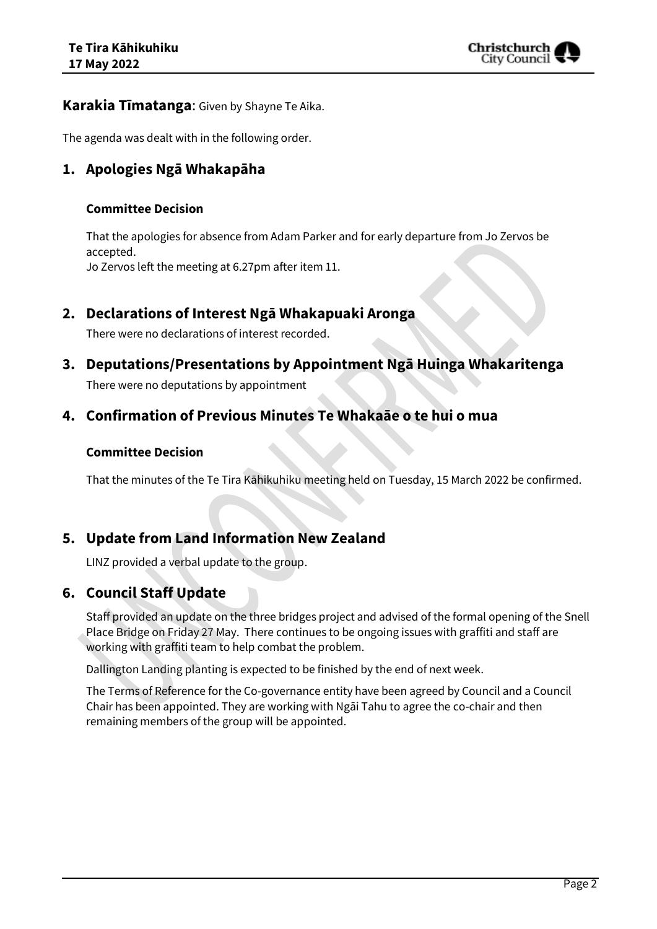

#### **Karakia Tīmatanga**: Given by Shayne Te Aika.

The agenda was dealt with in the following order.

### **1. Apologies Ngā Whakapāha**

#### **Committee Decision**

That the apologies for absence from Adam Parker and for early departure from Jo Zervos be accepted. Jo Zervos left the meeting at 6.27pm after item 11.

#### **2. Declarations of Interest Ngā Whakapuaki Aronga**

There were no declarations of interest recorded.

**3. Deputations/Presentations by Appointment Ngā Huinga Whakaritenga** There were no deputations by appointment

### **4. Confirmation of Previous Minutes Te Whakaāe o te hui o mua**

#### **Committee Decision**

That the minutes of the Te Tira Kāhikuhiku meeting held on Tuesday, 15 March 2022 be confirmed.

### **5. Update from Land Information New Zealand**

LINZ provided a verbal update to the group.

### **6. Council Staff Update**

Staff provided an update on the three bridges project and advised of the formal opening of the Snell Place Bridge on Friday 27 May. There continues to be ongoing issues with graffiti and staff are working with graffiti team to help combat the problem.

Dallington Landing planting is expected to be finished by the end of next week.

The Terms of Reference for the Co-governance entity have been agreed by Council and a Council Chair has been appointed. They are working with Ngāi Tahu to agree the co-chair and then remaining members of the group will be appointed.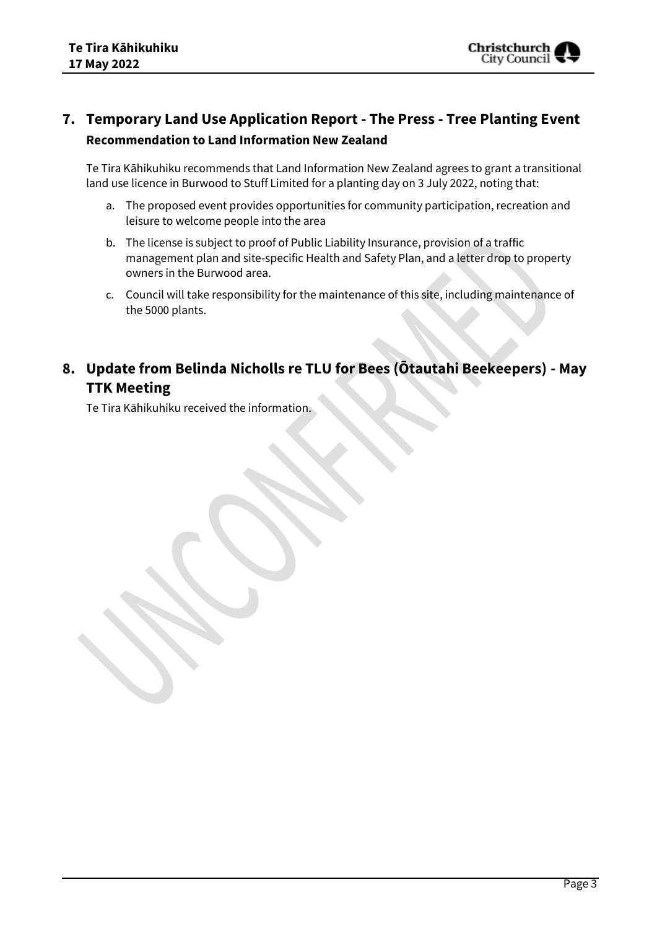

### **7. Temporary Land Use Application Report - The Press - Tree Planting Event Recommendation to Land Information New Zealand**

Te Tira Kāhikuhiku recommends that Land Information New Zealand agrees to grant a transitional land use licence in Burwood to Stuff Limited for a planting day on 3 July 2022, noting that:

- a. The proposed event provides opportunities for community participation, recreation and leisure to welcome people into the area
- b. The license is subject to proof of Public Liability Insurance, provision of a traffic management plan and site-specific Health and Safety Plan, and a letter drop to property owners in the Burwood area.
- c. Council will take responsibility for the maintenance of this site, including maintenance of the 5000 plants.

### **8. Update from Belinda Nicholls re TLU for Bees (Ōtautahi Beekeepers) - May TTK Meeting**

Te Tira Kāhikuhiku received the information.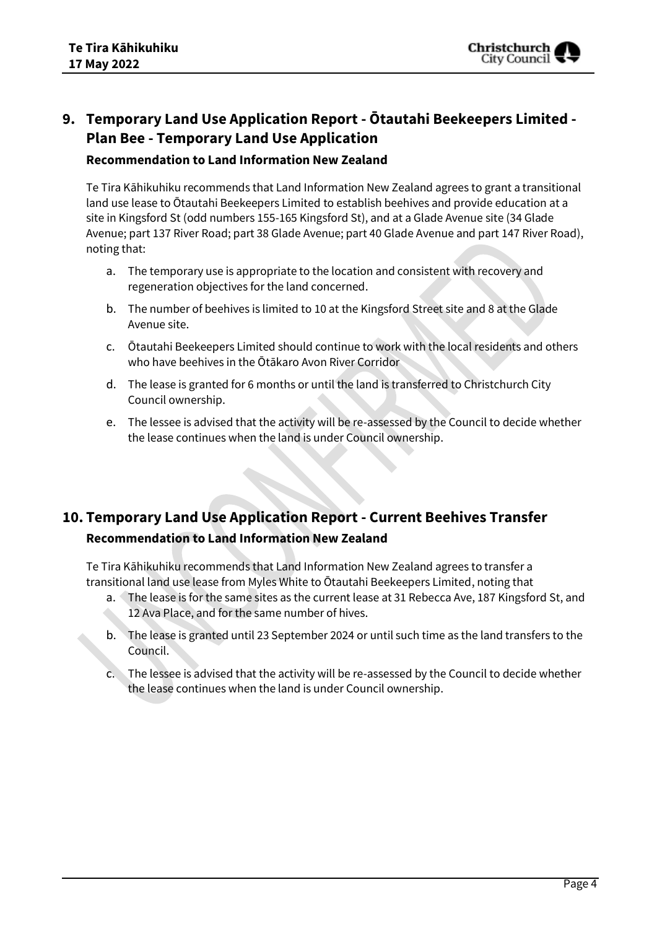

## **9. Temporary Land Use Application Report - Ōtautahi Beekeepers Limited - Plan Bee - Temporary Land Use Application**

#### **Recommendation to Land Information New Zealand**

Te Tira Kāhikuhiku recommends that Land Information New Zealand agrees to grant a transitional land use lease to Ōtautahi Beekeepers Limited to establish beehives and provide education at a site in Kingsford St (odd numbers 155-165 Kingsford St), and at a Glade Avenue site (34 Glade Avenue; part 137 River Road; part 38 Glade Avenue; part 40 Glade Avenue and part 147 River Road), noting that:

- a. The temporary use is appropriate to the location and consistent with recovery and regeneration objectives for the land concerned.
- b. The number of beehives is limited to 10 at the Kingsford Street site and 8 at the Glade Avenue site.
- c. Ōtautahi Beekeepers Limited should continue to work with the local residents and others who have beehives in the Ōtākaro Avon River Corridor
- d. The lease is granted for 6 months or until the land is transferred to Christchurch City Council ownership.
- e. The lessee is advised that the activity will be re-assessed by the Council to decide whether the lease continues when the land is under Council ownership.

### **10. Temporary Land Use Application Report - Current Beehives Transfer Recommendation to Land Information New Zealand**

Te Tira Kāhikuhiku recommends that Land Information New Zealand agrees to transfer a transitional land use lease from Myles White to Ōtautahi Beekeepers Limited, noting that

- a. The lease is for the same sites as the current lease at 31 Rebecca Ave, 187 Kingsford St, and 12 Ava Place, and for the same number of hives.
- b. The lease is granted until 23 September 2024 or until such time as the land transfers to the Council.
- c. The lessee is advised that the activity will be re-assessed by the Council to decide whether the lease continues when the land is under Council ownership.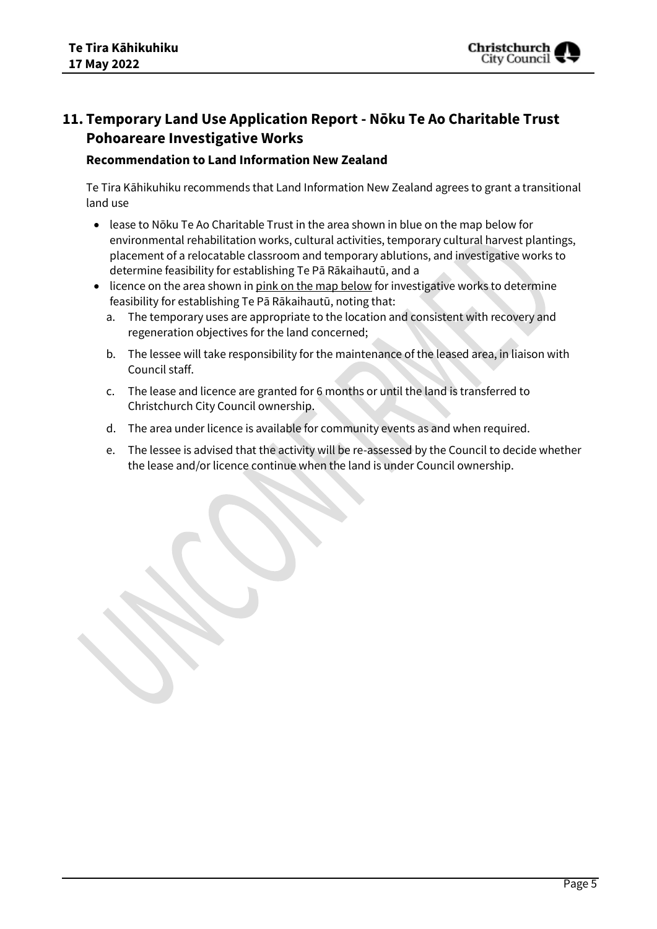

### **11. Temporary Land Use Application Report - Nōku Te Ao Charitable Trust Pohoareare Investigative Works**

#### **Recommendation to Land Information New Zealand**

Te Tira Kāhikuhiku recommends that Land Information New Zealand agrees to grant a transitional land use

- lease to Nōku Te Ao Charitable Trust in the area shown in blue on the map below for environmental rehabilitation works, cultural activities, temporary cultural harvest plantings, placement of a relocatable classroom and temporary ablutions, and investigative works to determine feasibility for establishing Te Pā Rākaihautū, and a
- licence on the area shown in pink on the map below for investigative works to determine feasibility for establishing Te Pā Rākaihautū, noting that:
	- a. The temporary uses are appropriate to the location and consistent with recovery and regeneration objectives for the land concerned;
	- b. The lessee will take responsibility for the maintenance of the leased area, in liaison with Council staff.
	- c. The lease and licence are granted for 6 months or until the land is transferred to Christchurch City Council ownership.
	- d. The area under licence is available for community events as and when required.
	- e. The lessee is advised that the activity will be re-assessed by the Council to decide whether the lease and/or licence continue when the land is under Council ownership.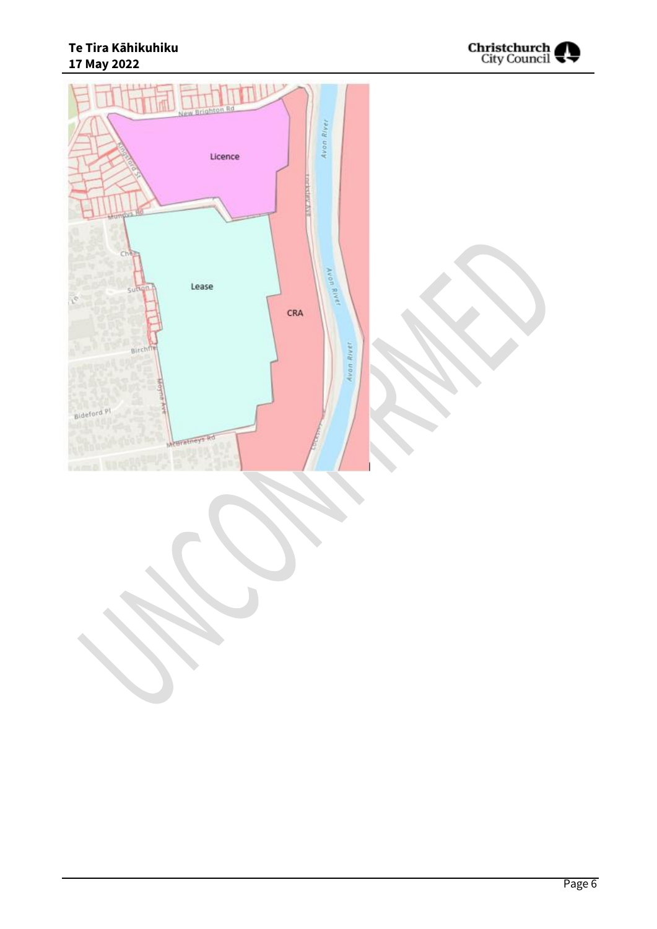